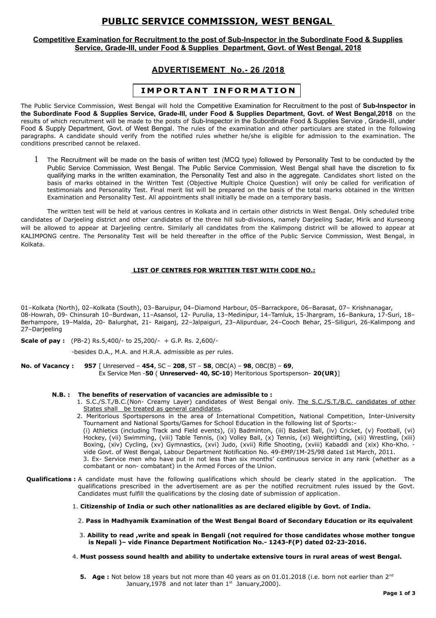# **PUBLIC SERVICE COMMISSION, WEST BENGAL**

## **Competitive Examination for Recruitment to the post of Sub-Inspector in the Subordinate Food & Supplies Service, Grade-III, under Food & Supplies Department, Govt. of West Bengal, 2018**

# **ADVERTISEMENT No.- 26 /2018**

# **I M P O R T A N T I N F O R M A T I O N**

The Public Service Commission, West Bengal will hold the Competitive Examination for Recruitment to the post of **Sub-Inspector in the Subordinate Food & Supplies Service, Grade-III, under Food & Supplies Department, Govt. of West Bengal,2018** on the results of which recruitment will be made to the posts of Sub-Inspector in the Subordinate Food & Supplies Service , Grade-III, under Food & Supply Department, Govt. of West Bengal. The rules of the examination and other particulars are stated in the following paragraphs. A candidate should verify from the notified rules whether he/she is eligible for admission to the examination. The conditions prescribed cannot be relaxed.

1 The Recruitment will be made on the basis of written test (MCQ type) followed by Personality Test to be conducted by the Public Service Commission, West Bengal. The Public Service Commission, West Bengal shall have the discretion to fix qualifying marks in the written examination, the Personality Test and also in the aggregate. Candidates short listed on the basis of marks obtained in the Written Test (Objective Multiple Choice Question) will only be called for verification of testimonials and Personality Test. Final merit list will be prepared on the basis of the total marks obtained in the Written Examination and Personality Test. All appointments shall initially be made on a temporary basis.

The written test will be held at various centres in Kolkata and in certain other districts in West Bengal. Only scheduled tribe candidates of Darjeeling district and other candidates of the three hill sub-divisions, namely Darjeeling Sadar, Mirik and Kurseong will be allowed to appear at Darjeeling centre. Similarly all candidates from the Kalimpong district will be allowed to appear at KALIMPONG centre. The Personality Test will be held thereafter in the office of the Public Service Commission, West Bengal, in Kolkata.

# **LIST OF CENTRES FOR WRITTEN TEST WITH CODE NO.:**

01–Kolkata (North), 02–Kolkata (South), 03–Baruipur, 04–Diamond Harbour, 05–Barrackpore, 06–Barasat, 07– Krishnanagar, 08-Howrah, 09- Chinsurah 10–Burdwan, 11–Asansol, 12- Purulia, 13–Medinipur, 14–Tamluk, 15-Jhargram, 16–Bankura, 17-Suri, 18– Berhampore, 19–Malda, 20- Balurghat, 21- Raiganj, 22–Jalpaiguri, 23–Alipurduar, 24–Cooch Behar, 25–Siliguri, 26-Kalimpong and 27–Darjeeling

**Scale of pay :** (PB-2) Rs.5,400/- to 25,200/- + G.P. Rs. 2,600/-

-besides D.A., M.A. and H.R.A. admissible as per rules.

**No. of Vacancy : 957** [ Unreserved – **454**, SC – **208**, ST – **58**, OBC(A) – **98**, OBC(B) – **69**, Ex Service Men -**50** ( **Unreserved- 40, SC-10**) Meritorious Sportsperson- **20(UR)**]

### **N.B. : The benefits of reservation of vacancies are admissible to :**

1. S.C./S.T./B.C.(Non- Creamy Layer) candidates of West Bengal only. The S.C./S.T./B.C. candidates of other States shall be treated as general candidates.

2. Meritorious Sportspersons in the area of International Competition, National Competition, Inter-University Tournament and National Sports/Games for School Education in the following list of Sports:- (i) Athletics (including Track and Field events), (ii) Badminton, (iii) Basket Ball, (iv) Cricket, (v) Football, (vi) Hockey, (vii) Swimming, (viii) Table Tennis, (ix) Volley Ball, (x) Tennis, (xi) Weightlifting, (xii) Wrestling, (xiii) Boxing, (xiv) Cycling, (xv) Gymnastics, (xvi) Judo, (xvii) Rifle Shooting, (xviii) Kabaddi and (xix) Kho-Kho. vide Govt. of West Bengal, Labour Department Notification No. 49-EMP/1M-25/98 dated 1st March, 2011. 3. Ex- Service men who have put in not less than six months' continuous service in any rank (whether as a combatant or non- combatant) in the Armed Forces of the Union.

- **Qualifications :** A candidate must have the following qualifications which should be clearly stated in the application. The qualifications prescribed in the advertisement are as per the notified recruitment rules issued by the Govt. Candidates must fulfill the qualifications by the closing date of submission of application.
	- 1. **Citizenship of India or such other nationalities as are declared eligible by Govt. of India.**
		- 2. **Pass in Madhyamik Examination of the West Bengal Board of Secondary Education or its equivalent**
		- 3. **Ability to read ,write and speak in Bengali (not required for those candidates whose mother tongue is Nepali )– vide Finance Department Notification No.- 1243-F(P) dated 02-23-2016.**
	- 4. **Must possess sound health and ability to undertake extensive tours in rural areas of west Bengal.**

**<sup>5.</sup> Age :** Not below 18 years but not more than 40 years as on 01.01.2018 (i.e. born not earlier than 2<sup>nd</sup> January, 1978 and not later than  $1^{st}$  January, 2000).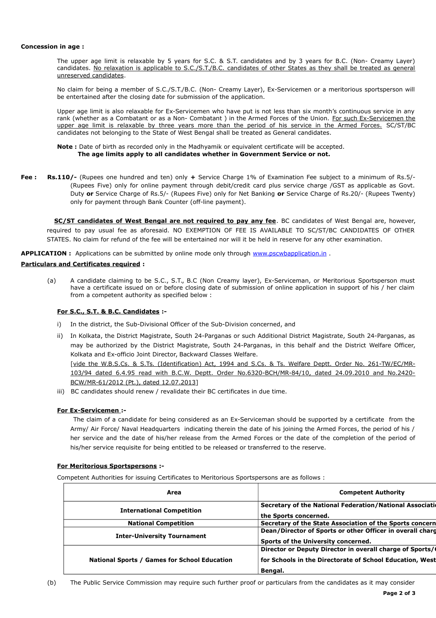#### **Concession in age :**

The upper age limit is relaxable by 5 years for S.C. & S.T. candidates and by 3 years for B.C. (Non- Creamy Layer) candidates. No relaxation is applicable to S.C./S.T./B.C. candidates of other States as they shall be treated as general unreserved candidates.

No claim for being a member of S.C./S.T./B.C. (Non- Creamy Layer), Ex-Servicemen or a meritorious sportsperson will be entertained after the closing date for submission of the application.

Upper age limit is also relaxable for Ex-Servicemen who have put is not less than six month's continuous service in any rank (whether as a Combatant or as a Non- Combatant ) in the Armed Forces of the Union. For such Ex-Servicemen the upper age limit is relaxable by three years more than the period of his service in the Armed Forces. SC/ST/BC candidates not belonging to the State of West Bengal shall be treated as General candidates.

#### **Note :** Date of birth as recorded only in the Madhyamik or equivalent certificate will be accepted. **The age limits apply to all candidates whether in Government Service or not.**

**Fee : Rs.110/-** (Rupees one hundred and ten) only **+** Service Charge 1% of Examination Fee subject to a minimum of Rs.5/- (Rupees Five) only for online payment through debit/credit card plus service charge /GST as applicable as Govt. Duty **or** Service Charge of Rs.5/- (Rupees Five) only for Net Banking **or** Service Charge of Rs.20/- (Rupees Twenty) only for payment through Bank Counter (off-line payment).

 **SC/ST candidates of West Bengal are not required to pay any fee**. BC candidates of West Bengal are, however, required to pay usual fee as aforesaid. NO EXEMPTION OF FEE IS AVAILABLE TO SC/ST/BC CANDIDATES OF OTHER STATES. No claim for refund of the fee will be entertained nor will it be held in reserve for any other examination.

**APPLICATION :** Applications can be submitted by online mode only through [www.pscwbapplication.in](http://www.pscwbapplication.in/) .

## **Particulars and Certificates required :**

(a) A candidate claiming to be S.C., S.T., B.C (Non Creamy layer), Ex-Serviceman, or Meritorious Sportsperson must have a certificate issued on or before closing date of submission of online application in support of his / her claim from a competent authority as specified below :

# **For S.C., S.T. & B.C. Candidates :-**

- i) In the district, the Sub-Divisional Officer of the Sub-Division concerned, and
- ii) In Kolkata, the District Magistrate, South 24-Parganas or such Additional District Magistrate, South 24-Parganas, as may be authorized by the District Magistrate, South 24-Parganas, in this behalf and the District Welfare Officer, Kolkata and Ex-officio Joint Director, Backward Classes Welfare.

[vide the W.B.S.Cs. & S.Ts. (Identification) Act, 1994 and S.Cs. & Ts. Welfare Deptt. Order No. 261-TW/EC/MR-103/94 dated 6.4.95 read with B.C.W. Deptt. Order No.6320-BCH/MR-84/10, dated 24.09.2010 and No.2420- BCW/MR-61/2012 (Pt.), dated 12.07.2013]

iii) BC candidates should renew / revalidate their BC certificates in due time.

# **For Ex-Servicemen :-**

The claim of a candidate for being considered as an Ex-Serviceman should be supported by a certificate from the Army/ Air Force/ Naval Headquarters indicating therein the date of his joining the Armed Forces, the period of his / her service and the date of his/her release from the Armed Forces or the date of the completion of the period of his/her service requisite for being entitled to be released or transferred to the reserve.

### **For Meritorious Sportspersons :-**

Competent Authorities for issuing Certificates to Meritorious Sportspersons are as follows :

| Area                                         | <b>Competent Authority</b>                                                                                                      |
|----------------------------------------------|---------------------------------------------------------------------------------------------------------------------------------|
| <b>International Competition</b>             | Secretary of the National Federation/National Association<br>the Sports concerned.                                              |
| <b>National Competition</b>                  | Secretary of the State Association of the Sports concern                                                                        |
| <b>Inter-University Tournament</b>           | Dean/Director of Sports or other Officer in overall charg<br>Sports of the University concerned.                                |
| National Sports / Games for School Education | Director or Deputy Director in overall charge of Sports/<br>for Schools in the Directorate of School Education, West<br>Bengal. |